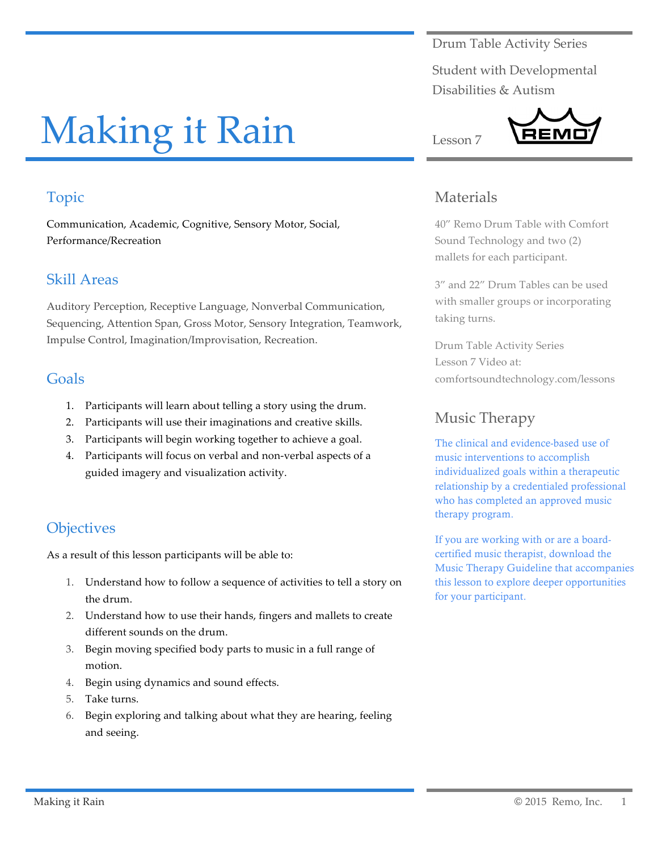Drum Table Activity Series

Student with Developmental Disabilities & Autism

# Making it Rain

# Topic

Communication, Academic, Cognitive, Sensory Motor, Social, Performance/Recreation

### Skill Areas

Auditory Perception, Receptive Language, Nonverbal Communication, Sequencing, Attention Span, Gross Motor, Sensory Integration, Teamwork, Impulse Control, Imagination/Improvisation, Recreation.

#### Goals

- 1. Participants will learn about telling a story using the drum.
- 2. Participants will use their imaginations and creative skills.
- 3. Participants will begin working together to achieve a goal.
- 4. Participants will focus on verbal and non-verbal aspects of a guided imagery and visualization activity.

## **Objectives**

As a result of this lesson participants will be able to:

- 1. Understand how to follow a sequence of activities to tell a story on the drum.
- 2. Understand how to use their hands, fingers and mallets to create different sounds on the drum.
- 3. Begin moving specified body parts to music in a full range of motion.
- 4. Begin using dynamics and sound effects.
- 5. Take turns.
- 6. Begin exploring and talking about what they are hearing, feeling and seeing.

### Materials

Lesson 7

40" Remo Drum Table with Comfort Sound Technology and two (2) mallets for each participant.

3" and 22" Drum Tables can be used with smaller groups or incorporating taking turns.

Drum Table Activity Series Lesson 7 Video at: comfortsoundtechnology.com/lessons

## Music Therapy

The clinical and evidence-based use of music interventions to accomplish individualized goals within a therapeutic relationship by a credentialed professional who has completed an approved music therapy program.

If you are working with or are a boardcertified music therapist, download the Music Therapy Guideline that accompanies this lesson to explore deeper opportunities for your participant.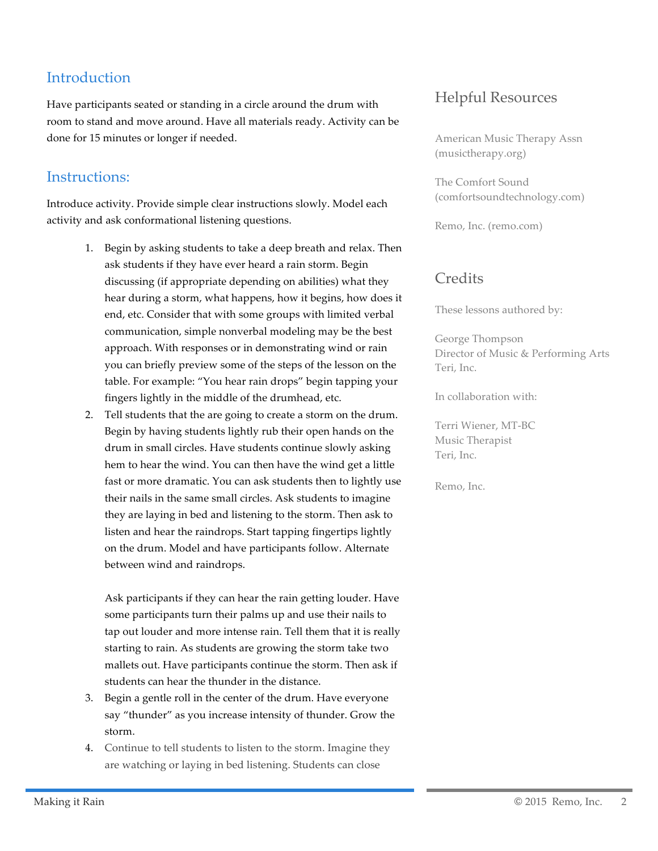# **Introduction**

Have participants seated or standing in a circle around the drum with room to stand and move around. Have all materials ready. Activity can be done for 15 minutes or longer if needed.

# Instructions:

Introduce activity. Provide simple clear instructions slowly. Model each activity and ask conformational listening questions.

- 1. Begin by asking students to take a deep breath and relax. Then ask students if they have ever heard a rain storm. Begin discussing (if appropriate depending on abilities) what they hear during a storm, what happens, how it begins, how does it end, etc. Consider that with some groups with limited verbal communication, simple nonverbal modeling may be the best approach. With responses or in demonstrating wind or rain you can briefly preview some of the steps of the lesson on the table. For example: "You hear rain drops" begin tapping your fingers lightly in the middle of the drumhead, etc.
- 2. Tell students that the are going to create a storm on the drum. Begin by having students lightly rub their open hands on the drum in small circles. Have students continue slowly asking hem to hear the wind. You can then have the wind get a little fast or more dramatic. You can ask students then to lightly use their nails in the same small circles. Ask students to imagine they are laying in bed and listening to the storm. Then ask to listen and hear the raindrops. Start tapping fingertips lightly on the drum. Model and have participants follow. Alternate between wind and raindrops.

Ask participants if they can hear the rain getting louder. Have some participants turn their palms up and use their nails to tap out louder and more intense rain. Tell them that it is really starting to rain. As students are growing the storm take two mallets out. Have participants continue the storm. Then ask if students can hear the thunder in the distance.

- 3. Begin a gentle roll in the center of the drum. Have everyone say "thunder" as you increase intensity of thunder. Grow the storm.
- 4. Continue to tell students to listen to the storm. Imagine they are watching or laying in bed listening. Students can close

# Helpful Resources

American Music Therapy Assn (musictherapy.org)

The Comfort Sound (comfortsoundtechnology.com)

Remo, Inc. (remo.com)

## **Credits**

These lessons authored by:

George Thompson Director of Music & Performing Arts Teri, Inc.

In collaboration with:

Terri Wiener, MT-BC Music Therapist Teri, Inc.

Remo, Inc.